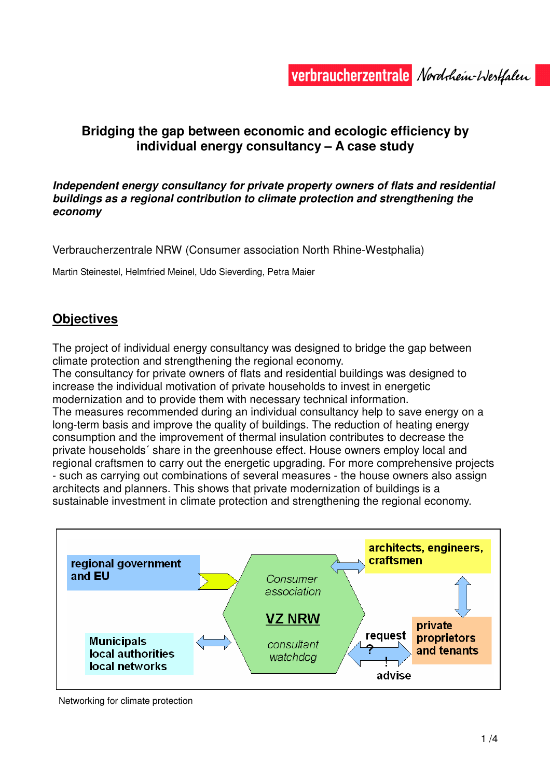# **Bridging the gap between economic and ecologic efficiency by individual energy consultancy – A case study**

#### **Independent energy consultancy for private property owners of flats and residential buildings as a regional contribution to climate protection and strengthening the economy**

Verbraucherzentrale NRW (Consumer association North Rhine-Westphalia)

Martin Steinestel, Helmfried Meinel, Udo Sieverding, Petra Maier

# **Objectives**

The project of individual energy consultancy was designed to bridge the gap between climate protection and strengthening the regional economy.

The consultancy for private owners of flats and residential buildings was designed to increase the individual motivation of private households to invest in energetic modernization and to provide them with necessary technical information.

The measures recommended during an individual consultancy help to save energy on a long-term basis and improve the quality of buildings. The reduction of heating energy consumption and the improvement of thermal insulation contributes to decrease the private households´ share in the greenhouse effect. House owners employ local and regional craftsmen to carry out the energetic upgrading. For more comprehensive projects - such as carrying out combinations of several measures - the house owners also assign architects and planners. This shows that private modernization of buildings is a sustainable investment in climate protection and strengthening the regional economy.



Networking for climate protection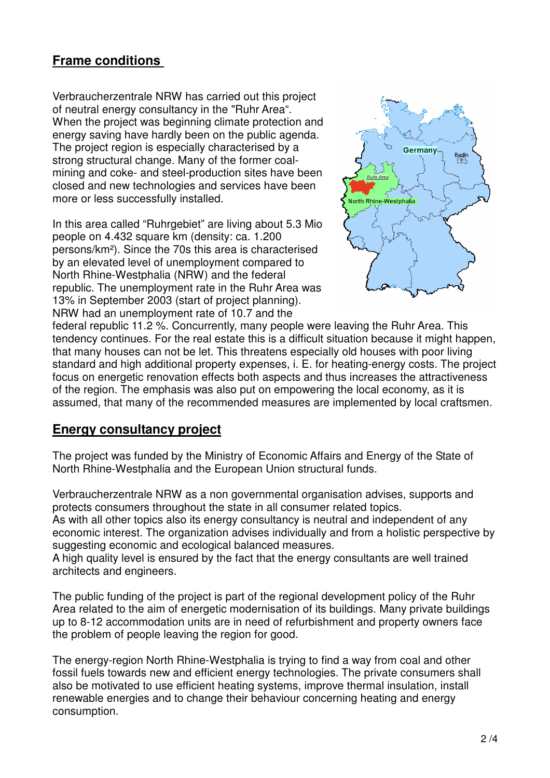# **Frame conditions**

Verbraucherzentrale NRW has carried out this project of neutral energy consultancy in the "Ruhr Area". When the project was beginning climate protection and energy saving have hardly been on the public agenda. The project region is especially characterised by a strong structural change. Many of the former coalmining and coke- and steel-production sites have been closed and new technologies and services have been more or less successfully installed.

In this area called "Ruhrgebiet" are living about 5.3 Mio people on 4.432 square km (density: ca. 1.200 persons/km²). Since the 70s this area is characterised by an elevated level of unemployment compared to North Rhine-Westphalia (NRW) and the federal republic. The unemployment rate in the Ruhr Area was 13% in September 2003 (start of project planning). NRW had an unemployment rate of 10.7 and the



federal republic 11.2 %. Concurrently, many people were leaving the Ruhr Area. This tendency continues. For the real estate this is a difficult situation because it might happen, that many houses can not be let. This threatens especially old houses with poor living standard and high additional property expenses, i. E. for heating-energy costs. The project focus on energetic renovation effects both aspects and thus increases the attractiveness of the region. The emphasis was also put on empowering the local economy, as it is assumed, that many of the recommended measures are implemented by local craftsmen.

### **Energy consultancy project**

The project was funded by the Ministry of Economic Affairs and Energy of the State of North Rhine-Westphalia and the European Union structural funds.

Verbraucherzentrale NRW as a non governmental organisation advises, supports and protects consumers throughout the state in all consumer related topics. As with all other topics also its energy consultancy is neutral and independent of any economic interest. The organization advises individually and from a holistic perspective by suggesting economic and ecological balanced measures.

A high quality level is ensured by the fact that the energy consultants are well trained architects and engineers.

The public funding of the project is part of the regional development policy of the Ruhr Area related to the aim of energetic modernisation of its buildings. Many private buildings up to 8-12 accommodation units are in need of refurbishment and property owners face the problem of people leaving the region for good.

The energy-region North Rhine-Westphalia is trying to find a way from coal and other fossil fuels towards new and efficient energy technologies. The private consumers shall also be motivated to use efficient heating systems, improve thermal insulation, install renewable energies and to change their behaviour concerning heating and energy consumption.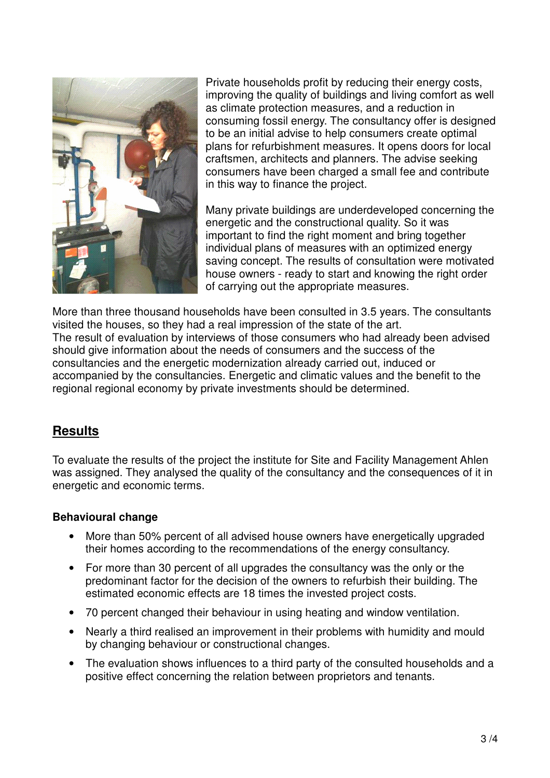

Private households profit by reducing their energy costs, improving the quality of buildings and living comfort as well as climate protection measures, and a reduction in consuming fossil energy. The consultancy offer is designed to be an initial advise to help consumers create optimal plans for refurbishment measures. It opens doors for local craftsmen, architects and planners. The advise seeking consumers have been charged a small fee and contribute in this way to finance the project.

Many private buildings are underdeveloped concerning the energetic and the constructional quality. So it was important to find the right moment and bring together individual plans of measures with an optimized energy saving concept. The results of consultation were motivated house owners - ready to start and knowing the right order of carrying out the appropriate measures.

More than three thousand households have been consulted in 3.5 years. The consultants visited the houses, so they had a real impression of the state of the art. The result of evaluation by interviews of those consumers who had already been advised should give information about the needs of consumers and the success of the consultancies and the energetic modernization already carried out, induced or accompanied by the consultancies. Energetic and climatic values and the benefit to the regional regional economy by private investments should be determined.

### **Results**

To evaluate the results of the project the institute for Site and Facility Management Ahlen was assigned. They analysed the quality of the consultancy and the consequences of it in energetic and economic terms.

#### **Behavioural change**

- More than 50% percent of all advised house owners have energetically upgraded their homes according to the recommendations of the energy consultancy.
- For more than 30 percent of all upgrades the consultancy was the only or the predominant factor for the decision of the owners to refurbish their building. The estimated economic effects are 18 times the invested project costs.
- 70 percent changed their behaviour in using heating and window ventilation.
- Nearly a third realised an improvement in their problems with humidity and mould by changing behaviour or constructional changes.
- The evaluation shows influences to a third party of the consulted households and a positive effect concerning the relation between proprietors and tenants.